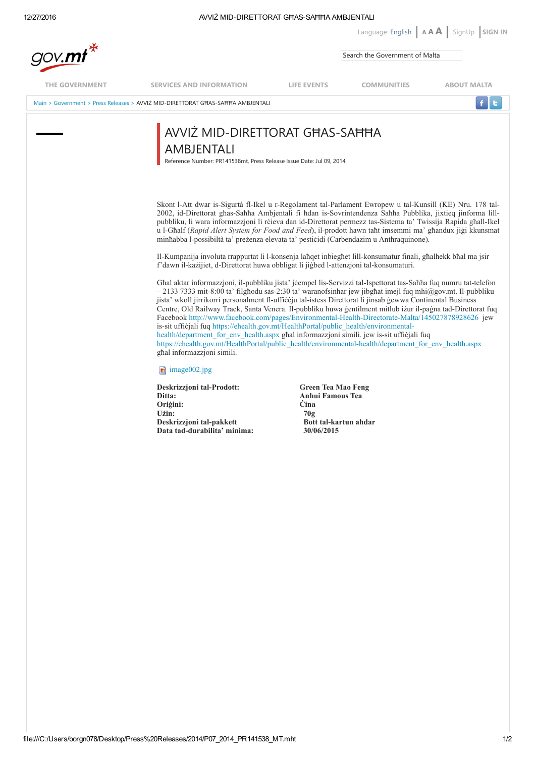## 12/27/2016 **AVIZ MID-DIRETTORAT GHAS-SAHHA AMBJENTALI**

| gov.mt*               |                                                                                                                                                                                                         |                                                                                                                                                                                                                                                                                                                                                                                                                                                                                                                                                  | Language: English $A \mathbf{A}$ SignUp SIGN IN<br>Search the Government of Malta |                    |  |
|-----------------------|---------------------------------------------------------------------------------------------------------------------------------------------------------------------------------------------------------|--------------------------------------------------------------------------------------------------------------------------------------------------------------------------------------------------------------------------------------------------------------------------------------------------------------------------------------------------------------------------------------------------------------------------------------------------------------------------------------------------------------------------------------------------|-----------------------------------------------------------------------------------|--------------------|--|
|                       |                                                                                                                                                                                                         |                                                                                                                                                                                                                                                                                                                                                                                                                                                                                                                                                  |                                                                                   |                    |  |
| <b>THE GOVERNMENT</b> | <b>SERVICES AND INFORMATION</b>                                                                                                                                                                         | <b>LIFE EVENTS</b>                                                                                                                                                                                                                                                                                                                                                                                                                                                                                                                               | <b>COMMUNITIES</b>                                                                | <b>ABOUT MALTA</b> |  |
|                       | Main > Government > Press Releases > AVVIZ MID-DIRETTORAT GHAS-SAHHA AMBJENTALI                                                                                                                         |                                                                                                                                                                                                                                                                                                                                                                                                                                                                                                                                                  |                                                                                   |                    |  |
|                       | AVVIŻ MID-DIRETTORAT GHAS-SAHHA<br>AMBJENTALI<br>Reference Number: PR141538mt, Press Release Issue Date: Jul 09, 2014                                                                                   |                                                                                                                                                                                                                                                                                                                                                                                                                                                                                                                                                  |                                                                                   |                    |  |
|                       |                                                                                                                                                                                                         | Skont l-Att dwar is-Sigurtà fl-Ikel u r-Regolament tal-Parlament Ewropew u tal-Kunsill (KE) Nru. 178 tal-<br>2002, id-Direttorat ghas-Sahha Ambjentali fi hdan is-Sovrintendenza Sahha Pubblika, jixtieq jinforma lill-<br>pubbliku, li wara informazzioni li rcieva dan id-Direttorat permezz tas-Sistema ta' Twissija Rapida ghall-Ikel<br>u l-Ghalf (Rapid Alert System for Food and Feed), il-prodott hawn taht imsemmi ma' ghandux jigi kkunsmat<br>minhabba l-possibiltà ta' prezenza elevata ta' pesticidi (Carbendazim u Anthraquinone). |                                                                                   |                    |  |
|                       | Il-Kumpanija involuta rrappurtat li l-konsenja lahget inbieghet lill-konsumatur finali, ghalhekk bhal ma jsir<br>f'dawn il-kazijiet, d-Direttorat huwa obbligat li jigbed l-attenzioni tal-konsumaturi. |                                                                                                                                                                                                                                                                                                                                                                                                                                                                                                                                                  |                                                                                   |                    |  |
|                       | Ghal aktar informazzjoni, il-pubbliku jista' jćempel lis-Servizzi tal-Ispettorat tas-Sahha fuq numru tat-telefon                                                                                        |                                                                                                                                                                                                                                                                                                                                                                                                                                                                                                                                                  |                                                                                   |                    |  |

 $-21337333$  mit-8:00 ta' filgħodu sas-2:30 ta' waranofsinhar jew jibgħat imejl fuq mhi@gov.mt. Il-pubbliku jista' wkoll jirrikorri personalment fl-uffiċċju tal-istess Direttorat li jinsab ġewwa Continental Business Centre, Old Railway Track, Santa Venera. Il-pubbliku huwa ġentilment mitlub iżur il-paġna tad-Direttorat fuq Facebook http://www.facebook.com/pages/Environmental-Health-Directorate-Malta/145027878928626 jew is-sit ufficjali fuq [https://ehealth.gov.mt/HealthPortal/public\\_health/environmental](https://ehealth.gov.mt/HealthPortal/public_health/environmental-health/department_for_env_health.aspx)health/department\_for\_env\_health.aspx għal informazzjoni simili. jew is-sit uffiċjali fuq [https://ehealth.gov.mt/HealthPortal/public\\_health/environmentalhealth/department\\_for\\_env\\_health.aspx](https://ehealth.gov.mt/HealthPortal/public_health/environmental-health/department_for_env_health.aspx) għal informazzjoni simili.

**[image002.jpg](http://www.gov.mt/en/Government/Press%20Releases/Documents/image002.jpg)** 

Deskrizzjoni tal-Prodott: Green Tea Mao Feng Ditta: Anhui Famous Tea Oriģini: Użin: 70g Deskrizzjoni tal-pakkett Bott tal-kartun Bott tal-kartun ahman anaratur Bott tal-kartun ahman ahman Bott tal-<br>19/06/2015 Data tad-durabilita' minima: